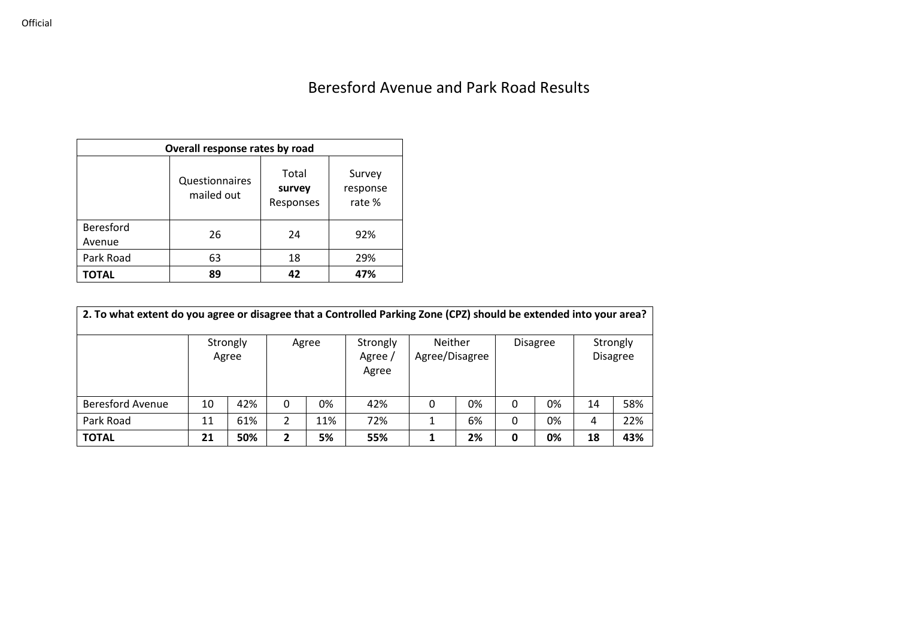## Beresford Avenue and Park Road Results

| Overall response rates by road |                              |                              |                              |  |  |  |  |  |  |  |
|--------------------------------|------------------------------|------------------------------|------------------------------|--|--|--|--|--|--|--|
|                                | Questionnaires<br>mailed out | Total<br>survey<br>Responses | Survey<br>response<br>rate % |  |  |  |  |  |  |  |
| <b>Beresford</b><br>Avenue     | 26                           | 24                           | 92%                          |  |  |  |  |  |  |  |
| Park Road                      | 63                           | 18                           | 29%                          |  |  |  |  |  |  |  |
| TOTAL                          | 89                           | 42                           | 47%                          |  |  |  |  |  |  |  |

| 2. To what extent do you agree or disagree that a Controlled Parking Zone (CPZ) should be extended into your area? |    |                   |          |       |                              |                                  |    |   |                 |                             |     |  |  |
|--------------------------------------------------------------------------------------------------------------------|----|-------------------|----------|-------|------------------------------|----------------------------------|----|---|-----------------|-----------------------------|-----|--|--|
|                                                                                                                    |    | Strongly<br>Agree |          | Agree | Strongly<br>Agree /<br>Agree | <b>Neither</b><br>Agree/Disagree |    |   | <b>Disagree</b> | Strongly<br><b>Disagree</b> |     |  |  |
| <b>Beresford Avenue</b>                                                                                            | 10 | 42%               | $\Omega$ | 0%    | 42%                          | 0                                | 0% | 0 | 0%              | 14                          | 58% |  |  |
| Park Road                                                                                                          | 11 | 61%               | 2        | 11%   | 72%                          |                                  | 6% | 0 | 0%              | 4                           | 22% |  |  |
| <b>TOTAL</b>                                                                                                       | 21 | 50%               |          | 5%    | 55%                          |                                  | 2% | 0 | 0%              | 18                          | 43% |  |  |